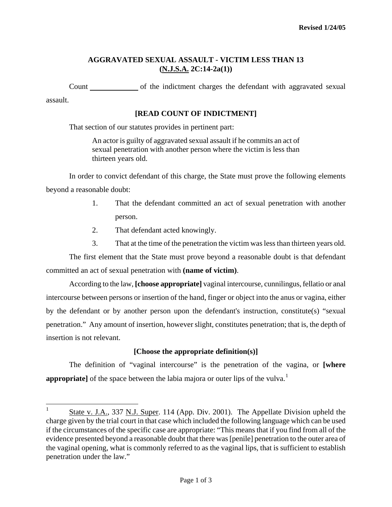## **AGGRAVATED SEXUAL ASSAULT - VICTIM LESS THAN 13 (N.J.S.A. 2C:14-2a(1))**

Count of the indictment charges the defendant with aggravated sexual assault.

## **[READ COUNT OF INDICTMENT]**

That section of our statutes provides in pertinent part:

An actor is guilty of aggravated sexual assault if he commits an act of sexual penetration with another person where the victim is less than thirteen years old.

In order to convict defendant of this charge, the State must prove the following elements beyond a reasonable doubt:

- 1. That the defendant committed an act of sexual penetration with another person.
- 2. That defendant acted knowingly.
- 3. That at the time of the penetration the victim was less than thirteen years old.

The first element that the State must prove beyond a reasonable doubt is that defendant committed an act of sexual penetration with **(name of victim)**.

According to the law, **[choose appropriate]** vaginal intercourse, cunnilingus, fellatio or anal intercourse between persons or insertion of the hand, finger or object into the anus or vagina, either by the defendant or by another person upon the defendant's instruction, constitute(s) "sexual penetration." Any amount of insertion, however slight, constitutes penetration; that is, the depth of insertion is not relevant.

## **[Choose the appropriate definition(s)]**

The definition of "vaginal intercourse" is the penetration of the vagina, or **[where appropriate** of the space between the labia majora or outer lips of the vulva.<sup>[1](#page-0-0)</sup>

<span id="page-0-1"></span><span id="page-0-0"></span> $\frac{1}{1}$  State v. J.A., 337 N.J. Super. 114 (App. Div. 2001). The Appellate Division upheld the charge given by the trial court in that case which included the following language which can be used if the circumstances of the specific case are appropriate: "This means that if you find from all of the evidence presented beyond a reasonable doubt that there was [penile] penetration to the outer area of the vaginal opening, what is commonly referred to as the vaginal lips, that is sufficient to establish penetration under the law."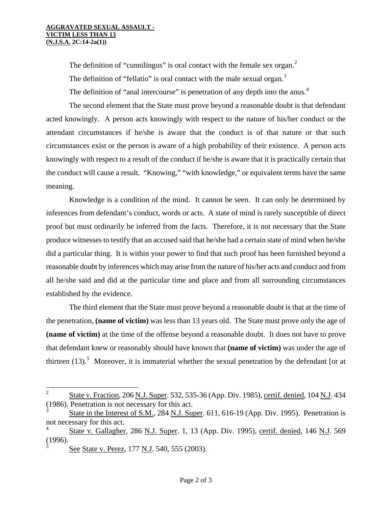The definition of "cunnilingus" is oral contact with the female sex organ.<sup>[2](#page-0-1)</sup>

The definition of "fellatio" is oral contact with the male sexual organ. $3$ 

The definition of "anal intercourse" is penetration of any depth into the anus.<sup>[4](#page-1-1)</sup>

The second element that the State must prove beyond a reasonable doubt is that defendant acted knowingly. A person acts knowingly with respect to the nature of his/her conduct or the attendant circumstances if he/she is aware that the conduct is of that nature or that such circumstances exist or the person is aware of a high probability of their existence. A person acts knowingly with respect to a result of the conduct if he/she is aware that it is practically certain that the conduct will cause a result. "Knowing," "with knowledge," or equivalent terms have the same meaning.

Knowledge is a condition of the mind. It cannot be seen. It can only be determined by inferences from defendant's conduct, words or acts. A state of mind is rarely susceptible of direct proof but must ordinarily be inferred from the facts. Therefore, it is not necessary that the State produce witnesses to testify that an accused said that he/she had a certain state of mind when he/she did a particular thing. It is within your power to find that such proof has been furnished beyond a reasonable doubt by inferences which may arise from the nature of his/her acts and conduct and from all he/she said and did at the particular time and place and from all surrounding circumstances established by the evidence.

The third element that the State must prove beyond a reasonable doubt is that at the time of the penetration, **(name of victim)** was less than 13 years old. The State must prove only the age of **(name of victim)** at the time of the offense beyond a reasonable doubt. It does not have to prove that defendant knew or reasonably should have known that **(name of victim)** was under the age of thirteen  $(13)$ .<sup>[5](#page-1-2)</sup> Moreover, it is immaterial whether the sexual penetration by the defendant [or at

See State v. Perez, 177 N.J. 540, 555 (2003).

 $\frac{1}{2}$  State v. Fraction, 206 N.J. Super. 532, 535-36 (App. Div. 1985), certif. denied, 104 N.J. 434 (1986). Penetration is not necessary for this act.

<span id="page-1-0"></span><sup>3</sup> State in the Interest of S.M., 284 N.J. Super. 611, 616-19 (App. Div. 1995). Penetration is not necessary for this act.

<span id="page-1-2"></span><span id="page-1-1"></span><sup>4</sup> State v. Gallagher, 286 N.J. Super. 1, 13 (App. Div. 1995), certif. denied, 146 N.J. 569  $(1996).$